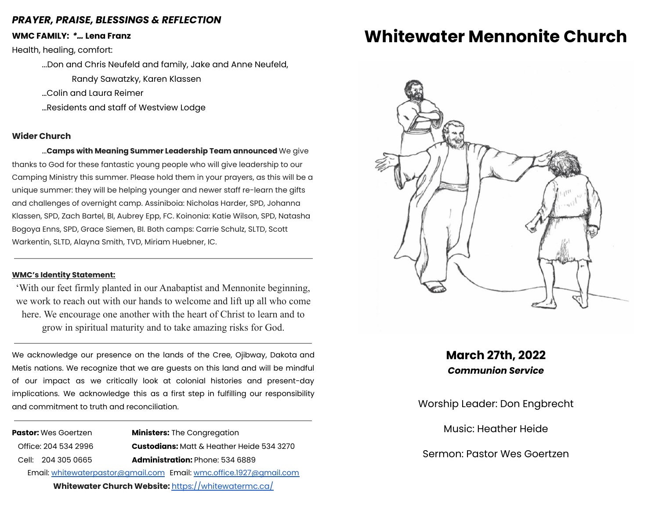### *PRAYER, PRAISE, BLESSINGS & REFLECTION*

**WMC FAMILY:** *\*…* **Lena Franz**

Health, healing, comfort:

...Don and Chris Neufeld and family, Jake and Anne Neufeld,

Randy Sawatzky, Karen Klassen

…Colin and Laura Reimer

…Residents and staff of Westview Lodge

#### **Wider Church**

…**Camps with Meaning Summer Leadership Team announced** We give thanks to God for these fantastic young people who will give leadership to our Camping Ministry this summer. Please hold them in your prayers, as this will be a unique summer: they will be helping younger and newer staff re-learn the gifts and challenges of overnight camp. Assiniboia: Nicholas Harder, SPD, Johanna Klassen, SPD, Zach Bartel, BI, Aubrey Epp, FC. Koinonia: Katie Wilson, SPD, Natasha Bogoya Enns, SPD, Grace Siemen, BI. Both camps: Carrie Schulz, SLTD, Scott Warkentin, SLTD, Alayna Smith, TVD, Miriam Huebner, IC.

#### **WMC's Identity Statement:**

'With our feet firmly planted in our Anabaptist and Mennonite beginning, we work to reach out with our hands to welcome and lift up all who come here. We encourage one another with the heart of Christ to learn and to grow in spiritual maturity and to take amazing risks for God.

We acknowledge our presence on the lands of the Cree, Ojibway, Dakota and Metis nations. We recognize that we are guests on this land and will be mindful of our impact as we critically look at colonial histories and present-day implications. We acknowledge this as a first step in fulfilling our responsibility and commitment to truth and reconciliation.

**Pastor:** Wes Goertzen **Ministers:** The Congregation Office: 204 534 2996 **Custodians:** Matt & Heather Heide 534 3270 Cell: 204 305 0665 **Administration:** Phone: 534 6889 Email: [whitewaterpastor@gmail.com](mailto:whitewaterpastor@gmail.com) Email: [wmc.office.1927@gmail.com](mailto:wmc.office.1927@gmail.com) **Whitewater Church Website:** <https://whitewatermc.ca/>

## **Whitewater Mennonite Church**



**March 27th, 2022** *Communion Service*

Worship Leader: Don Engbrecht

Music: Heather Heide

Sermon: Pastor Wes Goertzen